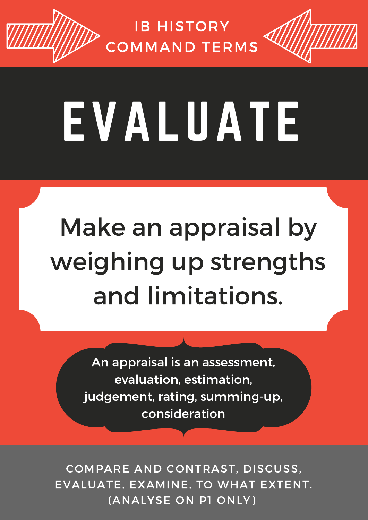## EVALUATE

COMPARE AND CONTRAST, DISCUSS, EVALUATE, EXAMINE, TO WHAT EXTENT. (ANALYSE ON P1 ONLY)

#### IB HISTORY COMMAND TERMS

Make an appraisal by weighing up strengths

#### and limitations.

An appraisal is an assessment, evaluation, estimation, judgement, rating, summing-up, consideration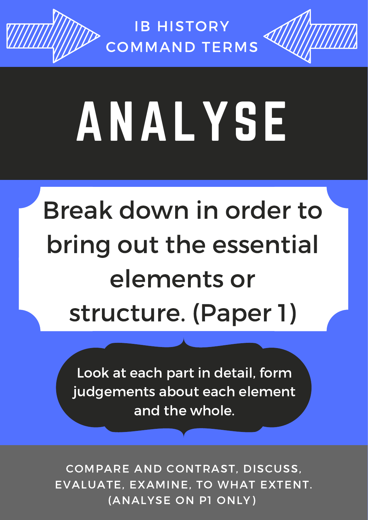## ANALYSE

COMPARE AND CONTRAST, DISCUSS, EVALUATE, EXAMINE, TO WHAT EXTENT. (ANALYSE ON P1 ONLY)

#### IB HISTORY COMMAND TERMS

### Break down in order to bring out the essential elements or structure. (Paper 1)

Look at each part in detail, form judgements about each element and the whole.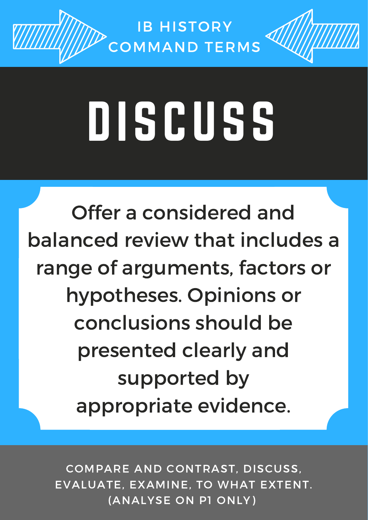COMPARE AND CONTRAST, DISCUSS, EVALUATE, EXAMINE, TO WHAT EXTENT. (ANALYSE ON P1 ONLY)

#### IB HISTORY COMMAND TERMS

# UISCUSS

Offer a considered and balanced review that includes a range of arguments, factors or

#### hypotheses. Opinions or conclusions should be presented clearly and supported by appropriate evidence.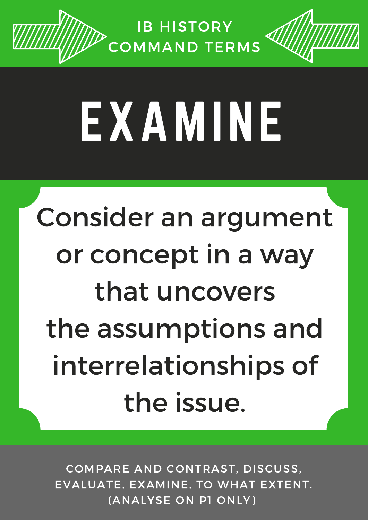## EXAMINE

COMPARE AND CONTRAST, DISCUSS, EVALUATE, EXAMINE, TO WHAT EXTENT. (ANALYSE ON P1 ONLY)

#### IB HISTORY COMMAND TERMS

### Consider an argument or concept in a way

### that uncovers the assumptions and interrelationships of the issue.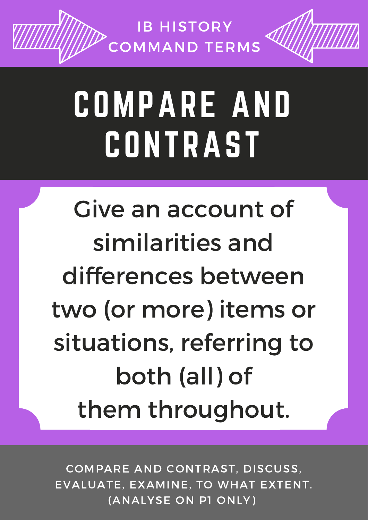## COMPARE AND CONTRAST

#### IB HISTORY COMMAND TERMS

COMPARE AND CONTRAST, DISCUSS, EVALUATE, EXAMINE, TO WHAT EXTENT. (ANALYSE ON P1 ONLY)

### Give an account of similarities and differences between

two (or more) items or situations, referring to both (all) of them throughout.